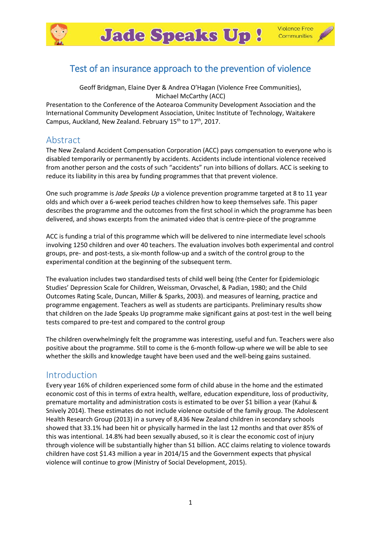



# Test of an insurance approach to the prevention of violence

Geoff Bridgman, Elaine Dyer & Andrea O'Hagan (Violence Free Communities), Michael McCarthy (ACC)

Presentation to the Conference of the Aotearoa Community Development Association and the International Community Development Association, Unitec Institute of Technology, Waitakere Campus, Auckland, New Zealand. February 15<sup>th</sup> to 17<sup>th</sup>, 2017.

# Abstract

The New Zealand Accident Compensation Corporation (ACC) pays compensation to everyone who is disabled temporarily or permanently by accidents. Accidents include intentional violence received from another person and the costs of such "accidents" run into billions of dollars. ACC is seeking to reduce its liability in this area by funding programmes that that prevent violence.

One such programme is *Jade Speaks Up* a violence prevention programme targeted at 8 to 11 year olds and which over a 6-week period teaches children how to keep themselves safe. This paper describes the programme and the outcomes from the first school in which the programme has been delivered, and shows excerpts from the animated video that is centre-piece of the programme

ACC is funding a trial of this programme which will be delivered to nine intermediate level schools involving 1250 children and over 40 teachers. The evaluation involves both experimental and control groups, pre- and post-tests, a six-month follow-up and a switch of the control group to the experimental condition at the beginning of the subsequent term.

The evaluation includes two standardised tests of child well being (the Center for Epidemiologic Studies' Depression Scale for Children, Weissman, Orvaschel, & Padian, 1980; and the Child Outcomes Rating Scale, Duncan, Miller & Sparks, 2003). and measures of learning, practice and programme engagement. Teachers as well as students are participants. Preliminary results show that children on the Jade Speaks Up programme make significant gains at post-test in the well being tests compared to pre-test and compared to the control group

The children overwhelmingly felt the programme was interesting, useful and fun. Teachers were also positive about the programme. Still to come is the 6-month follow-up where we will be able to see whether the skills and knowledge taught have been used and the well-being gains sustained.

## Introduction

Every year 16% of children experienced some form of child abuse in the home and the estimated economic cost of this in terms of extra health, welfare, education expenditure, loss of productivity, premature mortality and administration costs is estimated to be over \$1 billion a year (Kahui & Snively 2014). These estimates do not include violence outside of the family group. The Adolescent Health Research Group (2013) in a survey of 8,436 New Zealand children in secondary schools showed that 33.1% had been hit or physically harmed in the last 12 months and that over 85% of this was intentional. 14.8% had been sexually abused, so it is clear the economic cost of injury through violence will be substantially higher than S1 billion. ACC claims relating to violence towards children have cost \$1.43 million a year in 2014/15 and the Government expects that physical violence will continue to grow (Ministry of Social Development, 2015).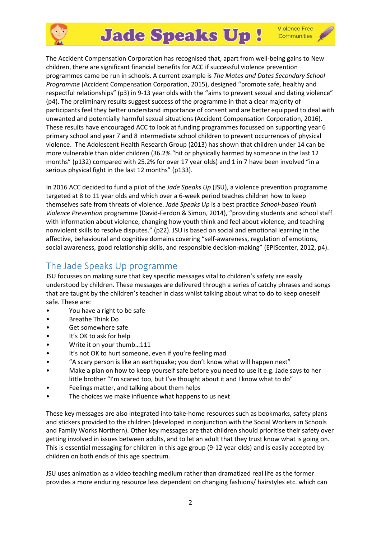

# **Jade Speaks Up!**

**Violence Free** Communities

The Accident Compensation Corporation has recognised that, apart from well-being gains to New children, there are significant financial benefits for ACC if successful violence prevention programmes came be run in schools. A current example is *The Mates and Dates Secondary School Programme* (Accident Compensation Corporation, 2015), designed "promote safe, healthy and respectful relationships" (p3) in 9-13 year olds with the "aims to prevent sexual and dating violence" (p4). The preliminary results suggest success of the programme in that a clear majority of participants feel they better understand importance of consent and are better equipped to deal with unwanted and potentially harmful sexual situations (Accident Compensation Corporation, 2016). These results have encouraged ACC to look at funding programmes focussed on supporting year 6 primary school and year 7 and 8 intermediate school children to prevent occurrences of physical violence. The Adolescent Health Research Group (2013) has shown that children under 14 can be more vulnerable than older children (36.2% "hit or physically harmed by someone in the last 12 months" (p132) compared with 25.2% for over 17 year olds) and 1 in 7 have been involved "in a serious physical fight in the last 12 months" (p133).

In 2016 ACC decided to fund a pilot of the *Jade Speaks Up* (JSU), a violence prevention programme targeted at 8 to 11 year olds and which over a 6-week period teaches children how to keep themselves safe from threats of violence. *Jade Speaks Up* is a best practice *School-based Youth Violence Prevention* programme (David-Ferdon & Simon, 2014), "providing students and school staff with information about violence, changing how youth think and feel about violence, and teaching nonviolent skills to resolve disputes." (p22). JSU is based on social and emotional learning in the affective, behavioural and cognitive domains covering "self-awareness, regulation of emotions, social awareness, good relationship skills, and responsible decision-making" (EPIScenter, 2012, p4).

# The Jade Speaks Up programme

JSU focusses on making sure that key specific messages vital to children's safety are easily understood by children. These messages are delivered through a series of catchy phrases and songs that are taught by the children's teacher in class whilst talking about what to do to keep oneself safe. These are:

- You have a right to be safe
- Breathe Think Do
- Get somewhere safe
- It's OK to ask for help
- Write it on your thumb…111
- It's not OK to hurt someone, even if you're feeling mad
- "A scary person is like an earthquake; you don't know what will happen next"
- Make a plan on how to keep yourself safe before you need to use it e.g. Jade says to her little brother "I'm scared too, but I've thought about it and I know what to do"
- Feelings matter, and talking about them helps
- The choices we make influence what happens to us next

These key messages are also integrated into take-home resources such as bookmarks, safety plans and stickers provided to the children (developed in conjunction with the Social Workers in Schools and Family Works Northern). Other key messages are that children should prioritise their safety over getting involved in issues between adults, and to let an adult that they trust know what is going on. This is essential messaging for children in this age group (9-12 year olds) and is easily accepted by children on both ends of this age spectrum.

JSU uses animation as a video teaching medium rather than dramatized real life as the former provides a more enduring resource less dependent on changing fashions/ hairstyles etc. which can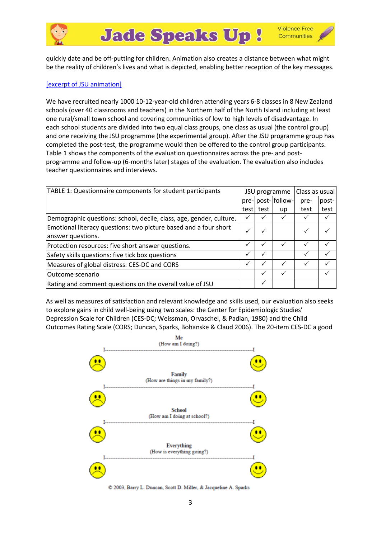

quickly date and be off-putting for children. Animation also creates a distance between what might be the reality of children's lives and what is depicted, enabling better reception of the key messages.

### [\[excerpt of JSU animation\]](https://docs.google.com/uc?export=download&id=0B5Jkqx8pHzeyYmxlUndBQjFoaHc)

We have recruited nearly 1000 10-12-year-old children attending years 6-8 classes in 8 New Zealand schools (over 40 classrooms and teachers) in the Northern half of the North Island including at least one rural/small town school and covering communities of low to high levels of disadvantage. In each school students are divided into two equal class groups, one class as usual (the control group) and one receiving the JSU programme (the experimental group). After the JSU programme group has completed the post-test, the programme would then be offered to the control group participants. Table 1 shows the components of the evaluation questionnaires across the pre- and postprogramme and follow-up (6-months later) stages of the evaluation. The evaluation also includes teacher questionnaires and interviews.

| TABLE 1: Questionnaire components for student participants                            | Class as usual<br>JSU programme |              |                    |      |       |
|---------------------------------------------------------------------------------------|---------------------------------|--------------|--------------------|------|-------|
|                                                                                       |                                 |              | pre- post- follow- | pre- | post- |
|                                                                                       | test                            | test         | up                 | test | test  |
| Demographic questions: school, decile, class, age, gender, culture.                   | $\checkmark$                    |              |                    |      |       |
| Emotional literacy questions: two picture based and a four short<br>answer questions. |                                 |              |                    |      |       |
| Protection resources: five short answer questions.                                    | $\checkmark$                    | $\checkmark$ |                    | ✓    |       |
| Safety skills questions: five tick box questions                                      | $\checkmark$                    |              |                    |      |       |
| Measures of global distress: CES-DC and CORS                                          | $\checkmark$                    | ✓            |                    | ✓    |       |
| lOutcome scenario                                                                     |                                 | ✓            |                    |      |       |
| Rating and comment questions on the overall value of JSU                              |                                 |              |                    |      |       |

As well as measures of satisfaction and relevant knowledge and skills used, our evaluation also seeks to explore gains in child well-being using two scales: the Center for Epidemiologic Studies' Depression Scale for Children (CES-DC; Weissman, Orvaschel, & Padian, 1980) and the Child Outcomes Rating Scale (CORS; Duncan, Sparks, Bohanske & Claud 2006). The 20-item CES-DC a good



© 2003, Barry L. Duncan, Scott D. Miller, & Jacqueline A. Sparks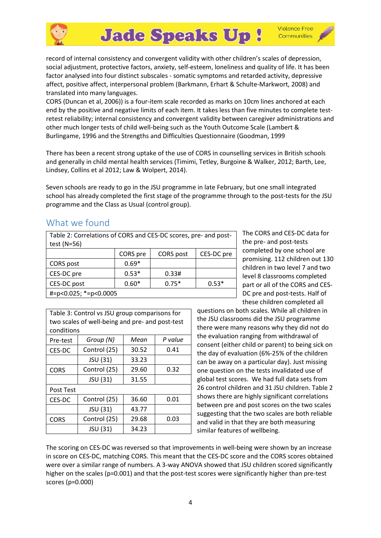

record of internal consistency and convergent validity with other children's scales of depression, social adjustment, protective factors, anxiety, self-esteem, loneliness and quality of life. It has been factor analysed into four distinct subscales - somatic symptoms and retarded activity, depressive affect, positive affect, interpersonal problem (Barkmann, Erhart & Schulte-Markwort, 2008) and translated into many languages.

CORS (Duncan et al, 2006)) is a four-item scale recorded as marks on 10cm lines anchored at each end by the positive and negative limits of each item. It takes less than five minutes to complete testretest reliability; internal consistency and convergent validity between caregiver administrations and other much longer tests of child well-being such as the Youth Outcome Scale (Lambert & Burlingame, 1996 and the Strengths and Difficulties Questionnaire (Goodman, 1999

There has been a recent strong uptake of the use of CORS in counselling services in British schools and generally in child mental health services (Timimi, Tetley, Burgoine & Walker, 2012; Barth, Lee, Lindsey, Collins et al 2012; Law & Wolpert, 2014).

Seven schools are ready to go in the JSU programme in late February, but one small integrated school has already completed the first stage of the programme through to the post-tests for the JSU programme and the Class as Usual (control group).

# What we found

| Table 2: Correlations of CORS and CES-DC scores, pre- and post- |
|-----------------------------------------------------------------|
| test (N=56)                                                     |

|                         | CORS pre | CORS post | CES-DC pre |  |
|-------------------------|----------|-----------|------------|--|
| CORS post               | $0.69*$  |           |            |  |
| CES-DC pre              | $0.53*$  | 0.33#     |            |  |
| CES-DC post             | $0.60*$  | $0.75*$   | $0.53*$    |  |
| $#=p<0.025;$ *=p<0.0005 |          |           |            |  |

The CORS and CES-DC data for the pre- and post-tests completed by one school are promising. 112 children out 130 children in two level 7 and two level 8 classrooms completed part or all of the CORS and CES-DC pre and post-tests. Half of these children completed all

| Table 3: Control vs JSU group comparisons for<br>two scales of well-being and pre- and post-test |              |       |         |  |
|--------------------------------------------------------------------------------------------------|--------------|-------|---------|--|
| conditions                                                                                       |              |       |         |  |
| Pre-test                                                                                         | Group (N)    | Mean  | P value |  |
| CES-DC                                                                                           | Control (25) | 30.52 | 0.41    |  |
|                                                                                                  | JSU (31)     | 33.23 |         |  |
| <b>CORS</b>                                                                                      | Control (25) | 29.60 | 0.32    |  |
|                                                                                                  | JSU (31)     | 31.55 |         |  |
| Post Test                                                                                        |              |       |         |  |
| CES-DC                                                                                           | Control (25) | 36.60 | 0.01    |  |
|                                                                                                  | JSU (31)     | 43.77 |         |  |
| <b>CORS</b>                                                                                      | Control (25) | 29.68 | 0.03    |  |
|                                                                                                  | JSU (31)     | 34.23 |         |  |

questions on both scales. While all children in the JSU classrooms did the JSU programme there were many reasons why they did not do the evaluation ranging from withdrawal of consent (either child or parent) to being sick on the day of evaluation (6%-25% of the children can be away on a particular day). Just missing one question on the tests invalidated use of global test scores. We had full data sets from 26 control children and 31 JSU children. Table 2 shows there are highly significant correlations between pre and post scores on the two scales suggesting that the two scales are both reliable and valid in that they are both measuring similar features of wellbeing.

The scoring on CES-DC was reversed so that improvements in well-being were shown by an increase in score on CES-DC, matching CORS. This meant that the CES-DC score and the CORS scores obtained were over a similar range of numbers. A 3-way ANOVA showed that JSU children scored significantly higher on the scales (p=0.001) and that the post-test scores were significantly higher than pre-test scores (p=0.000)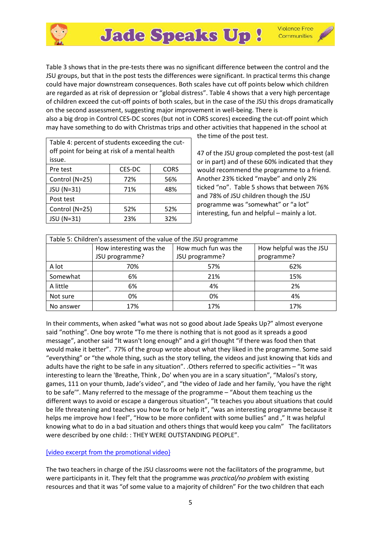

**Violence Free** Communities

Table 3 shows that in the pre-tests there was no significant difference between the control and the JSU groups, but that in the post tests the differences were significant. In practical terms this change could have major downstream consequences. Both scales have cut off points below which children are regarded as at risk of depression or "global distress". Table 4 shows that a very high percentage of children exceed the cut-off points of both scales, but in the case of the JSU this drops dramatically on the second assessment, suggesting major improvement in well-being. There is

also a big drop in Control CES-DC scores (but not in CORS scores) exceeding the cut-off point which may have something to do with Christmas trips and other activities that happened in the school at

| Table 4: percent of students exceeding the cut-<br>off point for being at risk of a mental health<br>issue. |        |             |  |  |
|-------------------------------------------------------------------------------------------------------------|--------|-------------|--|--|
| Pre test                                                                                                    | CES-DC | <b>CORS</b> |  |  |
| Control (N=25)                                                                                              | 72%    | 56%         |  |  |
| JSU (N=31)                                                                                                  | 71%    | 48%         |  |  |
| Post test                                                                                                   |        |             |  |  |
| Control (N=25)                                                                                              | 52%    | 52%         |  |  |
| JSU (N=31)                                                                                                  | 23%    | 32%         |  |  |

the time of the post test.

47 of the JSU group completed the post-test (all or in part) and of these 60% indicated that they would recommend the programme to a friend. Another 23% ticked "maybe" and only 2% ticked "no". Table 5 shows that between 76% and 78% of JSU children though the JSU programme was "somewhat" or "a lot" interesting, fun and helpful – mainly a lot.

| Table 5: Children's assessment of the value of the JSU programme |                         |                      |                         |  |
|------------------------------------------------------------------|-------------------------|----------------------|-------------------------|--|
|                                                                  | How interesting was the | How much fun was the | How helpful was the JSU |  |
|                                                                  | JSU programme?          | JSU programme?       | programme?              |  |
| A lot                                                            | 70%                     | 57%                  | 62%                     |  |
| Somewhat                                                         | 6%                      | 21%                  | 15%                     |  |
| A little                                                         | 6%                      | 4%                   | 2%                      |  |
| Not sure                                                         | 0%                      | 0%                   | 4%                      |  |
| No answer                                                        | 17%                     | 17%                  | 17%                     |  |

In their comments, when asked "what was not so good about Jade Speaks Up?" almost everyone said "nothing". One boy wrote "To me there is nothing that is not good as it spreads a good message", another said "It wasn't long enough" and a girl thought "if there was food then that would make it better". 77% of the group wrote about what they liked in the programme. Some said "everything" or "the whole thing, such as the story telling, the videos and just knowing that kids and adults have the right to be safe in any situation". .Others referred to specific activities – "It was interesting to learn the 'Breathe, Think , Do' when you are in a scary situation", "Malosi's story, games, 111 on your thumb, Jade's video", and "the video of Jade and her family, 'you have the right to be safe'". Many referred to the message of the programme – "About them teaching us the different ways to avoid or escape a dangerous situation", "It teaches you about situations that could be life threatening and teaches you how to fix or help it", "was an interesting programme because it helps me improve how I feel", "How to be more confident with some bullies" and ," It was helpful knowing what to do in a bad situation and others things that would keep you calm" The facilitators were described by one child: : THEY WERE OUTSTANDING PEOPLE".

#### [\[video excerpt from the promotional video}](https://docs.google.com/uc?export=download&id=0B5Jkqx8pHzeyQkJ0M29kc3JVYUE)

The two teachers in charge of the JSU classrooms were not the facilitators of the programme, but were participants in it. They felt that the programme was *practical/no problem* with existing resources and that it was "of some value to a majority of children" For the two children that each